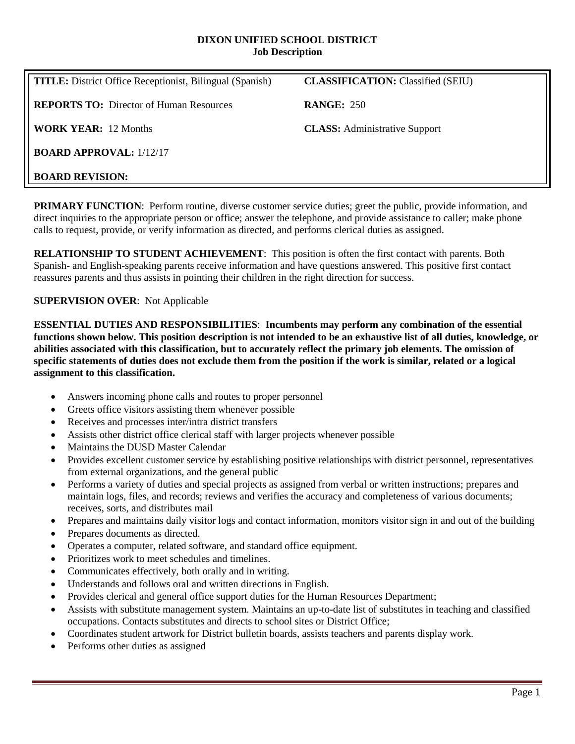#### **DIXON UNIFIED SCHOOL DISTRICT Job Description**

| <b>TITLE:</b> District Office Receptionist, Bilingual (Spanish) | <b>CLASSIFICATION: Classified (SEIU)</b> |
|-----------------------------------------------------------------|------------------------------------------|
| <b>REPORTS TO:</b> Director of Human Resources                  | <b>RANGE: 250</b>                        |
| <b>WORK YEAR: 12 Months</b>                                     | <b>CLASS:</b> Administrative Support     |
| <b>BOARD APPROVAL: 1/12/17</b>                                  |                                          |
| <b>BOARD REVISION:</b>                                          |                                          |

**PRIMARY FUNCTION:** Perform routine, diverse customer service duties; greet the public, provide information, and direct inquiries to the appropriate person or office; answer the telephone, and provide assistance to caller; make phone calls to request, provide, or verify information as directed, and performs clerical duties as assigned.

**RELATIONSHIP TO STUDENT ACHIEVEMENT**: This position is often the first contact with parents. Both Spanish- and English-speaking parents receive information and have questions answered. This positive first contact reassures parents and thus assists in pointing their children in the right direction for success.

### **SUPERVISION OVER**: Not Applicable

**ESSENTIAL DUTIES AND RESPONSIBILITIES**: **Incumbents may perform any combination of the essential functions shown below. This position description is not intended to be an exhaustive list of all duties, knowledge, or abilities associated with this classification, but to accurately reflect the primary job elements. The omission of specific statements of duties does not exclude them from the position if the work is similar, related or a logical assignment to this classification.**

- Answers incoming phone calls and routes to proper personnel
- Greets office visitors assisting them whenever possible
- Receives and processes inter/intra district transfers
- Assists other district office clerical staff with larger projects whenever possible
- Maintains the DUSD Master Calendar
- Provides excellent customer service by establishing positive relationships with district personnel, representatives from external organizations, and the general public
- Performs a variety of duties and special projects as assigned from verbal or written instructions; prepares and maintain logs, files, and records; reviews and verifies the accuracy and completeness of various documents; receives, sorts, and distributes mail
- Prepares and maintains daily visitor logs and contact information, monitors visitor sign in and out of the building
- Prepares documents as directed.
- Operates a computer, related software, and standard office equipment.
- Prioritizes work to meet schedules and timelines.
- Communicates effectively, both orally and in writing.
- Understands and follows oral and written directions in English.
- Provides clerical and general office support duties for the Human Resources Department;
- Assists with substitute management system. Maintains an up-to-date list of substitutes in teaching and classified occupations. Contacts substitutes and directs to school sites or District Office;
- Coordinates student artwork for District bulletin boards, assists teachers and parents display work.
- Performs other duties as assigned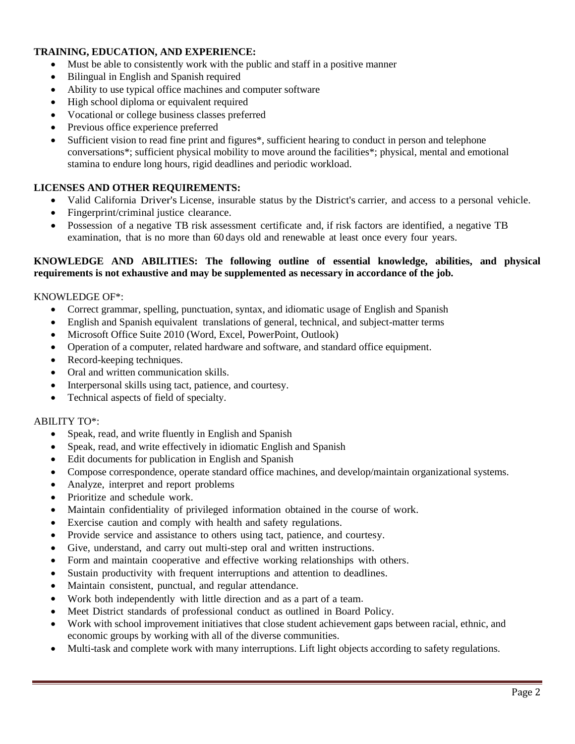## **TRAINING, EDUCATION, AND EXPERIENCE:**

- Must be able to consistently work with the public and staff in a positive manner
- Bilingual in English and Spanish required
- Ability to use typical office machines and computer software
- High school diploma or equivalent required
- Vocational or college business classes preferred
- Previous office experience preferred
- Sufficient vision to read fine print and figures\*, sufficient hearing to conduct in person and telephone conversations\*; sufficient physical mobility to move around the facilities\*; physical, mental and emotional stamina to endure long hours, rigid deadlines and periodic workload.

### **LICENSES AND OTHER REQUIREMENTS:**

- Valid California Driver's License, insurable status by the District's carrier, and access to a personal vehicle.
- Fingerprint/criminal justice clearance.
- Possession of a negative TB risk assessment certificate and, if risk factors are identified, a negative TB examination, that is no more than 60 days old and renewable at least once every four years.

### **KNOWLEDGE AND ABILITIES: The following outline of essential knowledge, abilities, and physical requirements is not exhaustive and may be supplemented as necessary in accordance of the job.**

### KNOWLEDGE OF\*:

- Correct grammar, spelling, punctuation, syntax, and idiomatic usage of English and Spanish
- English and Spanish equivalent translations of general, technical, and subject-matter terms
- Microsoft Office Suite 2010 (Word, Excel, PowerPoint, Outlook)
- Operation of a computer, related hardware and software, and standard office equipment.
- Record-keeping techniques.
- Oral and written communication skills.
- Interpersonal skills using tact, patience, and courtesy.
- Technical aspects of field of specialty.

### ABILITY TO\*:

- Speak, read, and write fluently in English and Spanish
- Speak, read, and write effectively in idiomatic English and Spanish
- Edit documents for publication in English and Spanish
- Compose correspondence, operate standard office machines, and develop/maintain organizational systems.
- Analyze, interpret and report problems
- Prioritize and schedule work.
- Maintain confidentiality of privileged information obtained in the course of work.
- Exercise caution and comply with health and safety regulations.
- Provide service and assistance to others using tact, patience, and courtesy.
- Give, understand, and carry out multi-step oral and written instructions.
- Form and maintain cooperative and effective working relationships with others.
- Sustain productivity with frequent interruptions and attention to deadlines.
- Maintain consistent, punctual, and regular attendance.
- Work both independently with little direction and as a part of a team.
- Meet District standards of professional conduct as outlined in Board Policy.
- Work with school improvement initiatives that close student achievement gaps between racial, ethnic, and economic groups by working with all of the diverse communities.
- Multi-task and complete work with many interruptions. Lift light objects according to safety regulations.